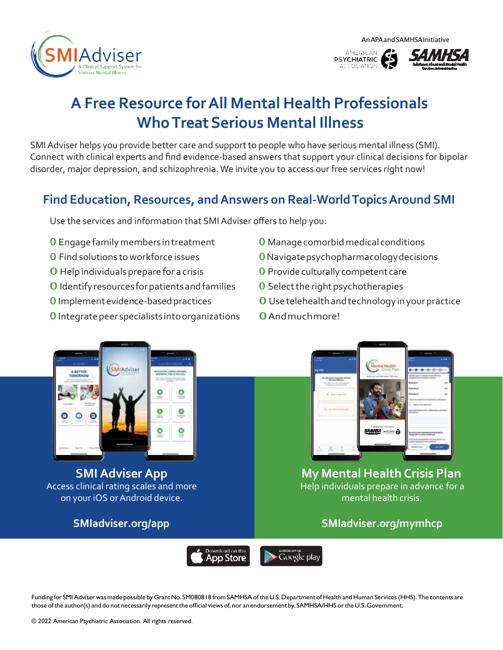AnAPAandSAMHSAInitiative







# **A Free Resource forAll Mental Health Professionals WhoTreatSerious Mental Illness**

SMI Adviser helps you provide better care and support to people who have serious mental illness (SMI). Connect with clinical experts and find evidence-based answers that support your clinical decisions for bipolar disorder, major depression, and schizophrenia. We invite you to access our free services right now!

### **Find Education, Resources, andAnswers on Real-WorldTopicsAround SMI**

Use the services and information that SMI Adviser offers to help you:

- 0 Engage familymembers intreatment
- 0 Find solutions to workforce issues
- 0 Help individuals prepare for a crisis
- 0 Identifyresources forpatientsandfamilies
- **O** Implement evidence-based practices
- **O** Integrate peer specialists into organizations
- **O** Manage comorbid medical conditions
- 0Navigatepsychopharmacologydecisions
- **0** Provide culturally competent care
- **O** Select the right psychotherapies
- 0 Usetelehealthandtechnologyinyourpractice
- 0Andmuchmore!



**SMI Adviser App** Access clinical rating scales and more on your iOS or Android device.



#### **My Mental Health Crisis Plan** Help individuals prepare in advance for a mental health crisis.

### **[SMIadviser.org/app](https://smiadviser.org/app) [SMIadviser.org/mymhcp](https://smiadviser.org/mymhcp)**



Funding for SMI Adviser was made possible by Grant No. SM080818 from SAMHSA of the U.S. Department of Health and Human Services (HHS). The contents are those of the author(s) and do not necessarily represent the official views of, nor an endorsement by, SAMHSA/HHS or the U.S. Government.